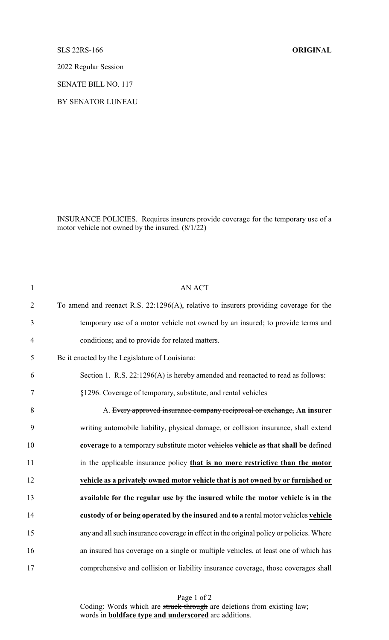## SLS 22RS-166 **ORIGINAL**

2022 Regular Session

SENATE BILL NO. 117

BY SENATOR LUNEAU

INSURANCE POLICIES. Requires insurers provide coverage for the temporary use of a motor vehicle not owned by the insured. (8/1/22)

| $\mathbf{1}$   | <b>AN ACT</b>                                                                           |
|----------------|-----------------------------------------------------------------------------------------|
| $\overline{2}$ | To amend and reenact R.S. 22:1296(A), relative to insurers providing coverage for the   |
| 3              | temporary use of a motor vehicle not owned by an insured; to provide terms and          |
| $\overline{4}$ | conditions; and to provide for related matters.                                         |
| 5              | Be it enacted by the Legislature of Louisiana:                                          |
| 6              | Section 1. R.S. 22:1296(A) is hereby amended and reenacted to read as follows:          |
| $\tau$         | §1296. Coverage of temporary, substitute, and rental vehicles                           |
| 8              | A. Every approved insurance company reciprocal or exchange, An insurer                  |
| 9              | writing automobile liability, physical damage, or collision insurance, shall extend     |
| 10             | coverage to a temporary substitute motor vehicles vehicle as that shall be defined      |
| 11             | in the applicable insurance policy that is no more restrictive than the motor           |
| 12             | vehicle as a privately owned motor vehicle that is not owned by or furnished or         |
| 13             | available for the regular use by the insured while the motor vehicle is in the          |
| 14             | custody of or being operated by the insured and to a rental motor vehicles vehicle      |
| 15             | any and all such insurance coverage in effect in the original policy or policies. Where |
| 16             | an insured has coverage on a single or multiple vehicles, at least one of which has     |
| 17             | comprehensive and collision or liability insurance coverage, those coverages shall      |

Page 1 of 2 Coding: Words which are struck through are deletions from existing law; words in **boldface type and underscored** are additions.